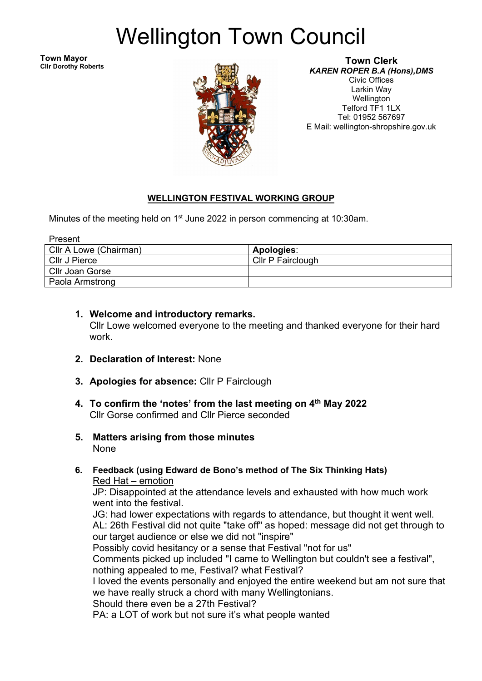# Wellington Town Council

**Town Mayor Cllr Dorothy Roberts**



#### **Town Clerk** *KAREN ROPER B.A (Hons),DMS*

Civic Offices Larkin Way Wellington Telford TF1 1LX Tel: 01952 567697 E Mail: wellington-shropshire.gov.uk

## **WELLINGTON FESTIVAL WORKING GROUP**

Minutes of the meeting held on 1<sup>st</sup> June 2022 in person commencing at 10:30am.

| Present                |                   |
|------------------------|-------------------|
| Cllr A Lowe (Chairman) | <b>Apologies:</b> |
| Cllr J Pierce          | Cllr P Fairclough |
| <b>Cllr Joan Gorse</b> |                   |
| Paola Armstrong        |                   |

#### **1. Welcome and introductory remarks.** Cllr Lowe welcomed everyone to the meeting and thanked everyone for their hard work.

- **2. Declaration of Interest:** None
- **3. Apologies for absence:** Cllr P Fairclough
- **4. To confirm the 'notes' from the last meeting on 4th May 2022** Cllr Gorse confirmed and Cllr Pierce seconded
- **5. Matters arising from those minutes** None
- **6. Feedback (using Edward de Bono's method of The Six Thinking Hats)** Red Hat – emotion

JP: Disappointed at the attendance levels and exhausted with how much work went into the festival.

 JG: had lower expectations with regards to attendance, but thought it went well. AL: 26th Festival did not quite "take off" as hoped: message did not get through to

our target audience or else we did not "inspire"

Possibly covid hesitancy or a sense that Festival "not for us"

Comments picked up included "I came to Wellington but couldn't see a festival", nothing appealed to me, Festival? what Festival?

I loved the events personally and enjoyed the entire weekend but am not sure that we have really struck a chord with many Wellingtonians.

Should there even be a 27th Festival?

PA: a LOT of work but not sure it's what people wanted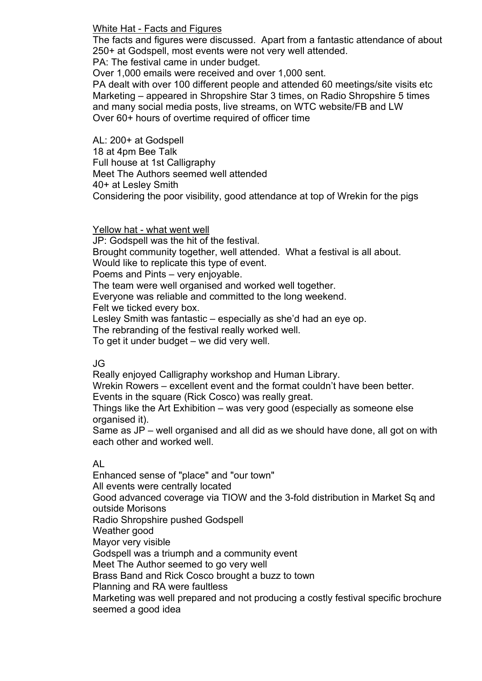White Hat - Facts and Figures

The facts and figures were discussed. Apart from a fantastic attendance of about 250+ at Godspell, most events were not very well attended.

PA: The festival came in under budget.

Over 1,000 emails were received and over 1,000 sent.

PA dealt with over 100 different people and attended 60 meetings/site visits etc Marketing – appeared in Shropshire Star 3 times, on Radio Shropshire 5 times and many social media posts, live streams, on WTC website/FB and LW Over 60+ hours of overtime required of officer time

AL: 200+ at Godspell 18 at 4pm Bee Talk Full house at 1st Calligraphy Meet The Authors seemed well attended 40+ at Lesley Smith Considering the poor visibility, good attendance at top of Wrekin for the pigs

Yellow hat - what went well

JP: Godspell was the hit of the festival. Brought community together, well attended. What a festival is all about. Would like to replicate this type of event. Poems and Pints – very enjoyable. The team were well organised and worked well together. Everyone was reliable and committed to the long weekend. Felt we ticked every box. Lesley Smith was fantastic – especially as she'd had an eye op. The rebranding of the festival really worked well. To get it under budget – we did very well.

## JG

Really enjoyed Calligraphy workshop and Human Library.

Wrekin Rowers – excellent event and the format couldn't have been better. Events in the square (Rick Cosco) was really great.

Things like the Art Exhibition – was very good (especially as someone else organised it).

Same as JP – well organised and all did as we should have done, all got on with each other and worked well.

## AL

Enhanced sense of "place" and "our town" All events were centrally located Good advanced coverage via TIOW and the 3-fold distribution in Market Sq and outside Morisons Radio Shropshire pushed Godspell Weather good Mayor very visible Godspell was a triumph and a community event Meet The Author seemed to go very well Brass Band and Rick Cosco brought a buzz to town Planning and RA were faultless Marketing was well prepared and not producing a costly festival specific brochure seemed a good idea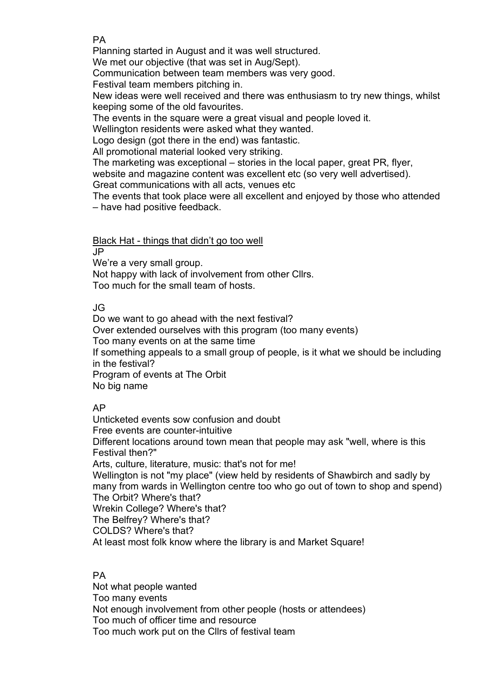### PA

Planning started in August and it was well structured.

We met our objective (that was set in Aug/Sept).

Communication between team members was very good.

Festival team members pitching in.

New ideas were well received and there was enthusiasm to try new things, whilst keeping some of the old favourites.

The events in the square were a great visual and people loved it.

Wellington residents were asked what they wanted.

Logo design (got there in the end) was fantastic.

All promotional material looked very striking.

The marketing was exceptional – stories in the local paper, great PR, flyer,

website and magazine content was excellent etc (so very well advertised).

Great communications with all acts, venues etc

The events that took place were all excellent and enjoyed by those who attended – have had positive feedback.

Black Hat - things that didn't go too well

JP

We're a very small group.

Not happy with lack of involvement from other Cllrs. Too much for the small team of hosts.

## JG

Do we want to go ahead with the next festival? Over extended ourselves with this program (too many events) Too many events on at the same time If something appeals to a small group of people, is it what we should be including in the festival? Program of events at The Orbit No big name

## AP

Unticketed events sow confusion and doubt Free events are counter-intuitive Different locations around town mean that people may ask "well, where is this Festival then?" Arts, culture, literature, music: that's not for me! Wellington is not "my place" (view held by residents of Shawbirch and sadly by many from wards in Wellington centre too who go out of town to shop and spend) The Orbit? Where's that? Wrekin College? Where's that? The Belfrey? Where's that? COLDS? Where's that? At least most folk know where the library is and Market Square!

## PA

Not what people wanted Too many events Not enough involvement from other people (hosts or attendees) Too much of officer time and resource Too much work put on the Cllrs of festival team